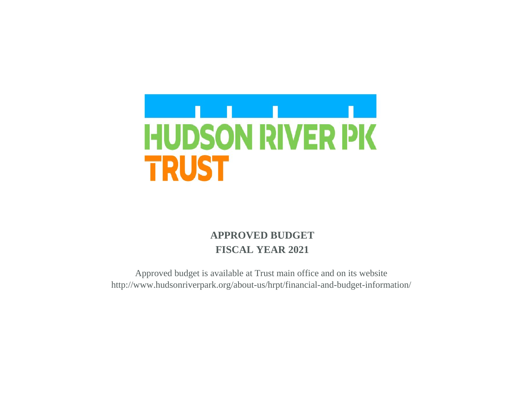

# **APPROVED BUDGET FISCAL YEAR 2021**

Approved budget is available at Trust main office and on its website http://www.hudsonriverpark.org/about-us/hrpt/financial-and-budget-information/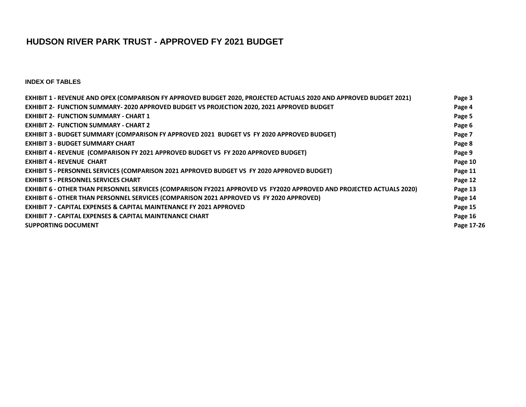## **HUDSON RIVER PARK TRUST - APPROVED FY 2021 BUDGET**

**INDEX OF TABLES**

| EXHIBIT 1 - REVENUE AND OPEX (COMPARISON FY APPROVED BUDGET 2020, PROJECTED ACTUALS 2020 AND APPROVED BUDGET 2021)   | Page 3     |
|----------------------------------------------------------------------------------------------------------------------|------------|
| EXHIBIT 2- FUNCTION SUMMARY-2020 APPROVED BUDGET VS PROJECTION 2020, 2021 APPROVED BUDGET                            | Page 4     |
| <b>EXHIBIT 2- FUNCTION SUMMARY - CHART 1</b>                                                                         | Page 5     |
| <b>EXHIBIT 2- FUNCTION SUMMARY - CHART 2</b>                                                                         | Page 6     |
| <b>EXHIBIT 3 - BUDGET SUMMARY (COMPARISON FY APPROVED 2021 BUDGET VS FY 2020 APPROVED BUDGET)</b>                    | Page 7     |
| <b>EXHIBIT 3 - BUDGET SUMMARY CHART</b>                                                                              | Page 8     |
| EXHIBIT 4 - REVENUE (COMPARISON FY 2021 APPROVED BUDGET VS FY 2020 APPROVED BUDGET)                                  | Page 9     |
| <b>EXHIBIT 4 - REVENUE CHART</b>                                                                                     | Page 10    |
| EXHIBIT 5 - PERSONNEL SERVICES (COMPARISON 2021 APPROVED BUDGET VS FY 2020 APPROVED BUDGET)                          | Page 11    |
| <b>EXHIBIT 5 - PERSONNEL SERVICES CHART</b>                                                                          | Page 12    |
| EXHIBIT 6 - OTHER THAN PERSONNEL SERVICES (COMPARISON FY2021 APPROVED VS FY2020 APPROVED AND PROJECTED ACTUALS 2020) | Page 13    |
| EXHIBIT 6 - OTHER THAN PERSONNEL SERVICES (COMPARISON 2021 APPROVED VS FY 2020 APPROVED)                             | Page 14    |
| <b>EXHIBIT 7 - CAPITAL EXPENSES &amp; CAPITAL MAINTENANCE FY 2021 APPROVED</b>                                       | Page 15    |
| <b>EXHIBIT 7 - CAPITAL EXPENSES &amp; CAPITAL MAINTENANCE CHART</b>                                                  | Page 16    |
| <b>SUPPORTING DOCUMENT</b>                                                                                           | Page 17-26 |
|                                                                                                                      |            |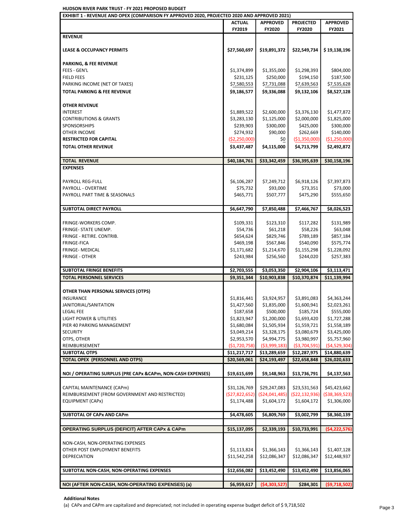## **HUDSON RIVER PARK TRUST - FY 2021 PROPOSED BUDGET**

| EXHIBIT 1 - REVENUE AND OPEX (COMPARISON FY APPROVED 2020, PROJECTED 2020 AND APPROVED 2021) |                |                 |                              |                                                                                                                                                                                                                                                                                              |
|----------------------------------------------------------------------------------------------|----------------|-----------------|------------------------------|----------------------------------------------------------------------------------------------------------------------------------------------------------------------------------------------------------------------------------------------------------------------------------------------|
|                                                                                              | <b>ACTUAL</b>  | <b>APPROVED</b> | <b>PROJECTED</b>             | <b>APPROVED</b>                                                                                                                                                                                                                                                                              |
|                                                                                              | FY2019         | FY2020          | FY2020                       | FY2021                                                                                                                                                                                                                                                                                       |
| <b>REVENUE</b>                                                                               |                |                 |                              |                                                                                                                                                                                                                                                                                              |
|                                                                                              |                |                 |                              |                                                                                                                                                                                                                                                                                              |
| <b>LEASE &amp; OCCUPANCY PERMITS</b>                                                         | \$27,560,697   | \$19,891,372    | \$22,549,734                 | \$19,138,196                                                                                                                                                                                                                                                                                 |
|                                                                                              |                |                 |                              |                                                                                                                                                                                                                                                                                              |
| <b>PARKING, &amp; FEE REVENUE</b>                                                            |                |                 |                              |                                                                                                                                                                                                                                                                                              |
| FEES - GEN'L                                                                                 | \$1,374,899    | \$1,355,000     | \$1,298,393                  | \$804,000                                                                                                                                                                                                                                                                                    |
| <b>FIELD FEES</b>                                                                            | \$231,125      | \$250,000       | \$194,150                    | \$187,500                                                                                                                                                                                                                                                                                    |
| PARKING INCOME (NET OF TAXES)                                                                | \$7,580,553    | \$7,731,088     | \$7,639,563                  | \$7,535,628                                                                                                                                                                                                                                                                                  |
| <b>TOTAL PARKING &amp; FEE REVENUE</b>                                                       | \$9,186,577    | \$9,336,088     | \$9,132,106                  | \$8,527,128                                                                                                                                                                                                                                                                                  |
|                                                                                              |                |                 |                              |                                                                                                                                                                                                                                                                                              |
| <b>OTHER REVENUE</b>                                                                         |                |                 |                              |                                                                                                                                                                                                                                                                                              |
| <b>INTEREST</b>                                                                              | \$1,889,522    | \$2,600,000     | \$3,376,130                  | \$1,477,872                                                                                                                                                                                                                                                                                  |
| <b>CONTRIBUTIONS &amp; GRANTS</b>                                                            | \$3,283,130    | \$1,125,000     | \$2,000,000                  | \$1,825,000                                                                                                                                                                                                                                                                                  |
| SPONSORSHIPS                                                                                 | \$239,903      | \$300,000       | \$425,000                    | \$300,000                                                                                                                                                                                                                                                                                    |
| OTHER INCOME                                                                                 | \$274,932      | \$90,000        | \$262,669                    | \$140,000                                                                                                                                                                                                                                                                                    |
| <b>RESTRICTED FOR CAPITAL</b>                                                                | (\$2,250,000)  | \$0             | ( \$1,350,000)               | (\$1,250,000)                                                                                                                                                                                                                                                                                |
| <b>TOTAL OTHER REVENUE</b>                                                                   | \$3,437,487    | \$4,115,000     | \$4,713,799                  | \$2,492,872                                                                                                                                                                                                                                                                                  |
|                                                                                              |                |                 |                              |                                                                                                                                                                                                                                                                                              |
| <b>TOTAL REVENUE</b>                                                                         | \$40,184,761   | \$33,342,459    | \$36,395,639                 | \$30,158,196                                                                                                                                                                                                                                                                                 |
| <b>EXPENSES</b>                                                                              |                |                 |                              |                                                                                                                                                                                                                                                                                              |
|                                                                                              |                |                 |                              |                                                                                                                                                                                                                                                                                              |
| PAYROLL REG-FULL                                                                             | \$6,106,287    | \$7,249,712     | \$6,918,126                  | \$7,397,873                                                                                                                                                                                                                                                                                  |
|                                                                                              |                |                 |                              |                                                                                                                                                                                                                                                                                              |
| PAYROLL - OVERTIME                                                                           | \$75,732       | \$93,000        | \$73,351                     | \$73,000                                                                                                                                                                                                                                                                                     |
| PAYROLL PART TIME & SEASONALS                                                                | \$465,771      | \$507,777       | \$475,290                    | \$555,650                                                                                                                                                                                                                                                                                    |
|                                                                                              |                |                 |                              |                                                                                                                                                                                                                                                                                              |
| SUBTOTAL DIRECT PAYROLL                                                                      | \$6,647,790    | \$7,850,488     | \$7,466,767                  | \$8,026,523                                                                                                                                                                                                                                                                                  |
|                                                                                              |                |                 |                              |                                                                                                                                                                                                                                                                                              |
| FRINGE-WORKERS COMP.                                                                         | \$109,331      | \$123,310       | \$117,282                    | \$131,989                                                                                                                                                                                                                                                                                    |
| FRINGE- STATE UNEMP.                                                                         | \$54,736       | \$61,218        | \$58,226                     | \$63,048                                                                                                                                                                                                                                                                                     |
| FRINGE - RETIRE. CONTRIB.                                                                    | \$654,624      | \$829,746       | \$789,189                    | \$857,184                                                                                                                                                                                                                                                                                    |
| <b>FRINGE-FICA</b>                                                                           | \$469,198      | \$567,846       | \$540,090                    | \$575,774                                                                                                                                                                                                                                                                                    |
| <b>FRINGE- MEDICAL</b>                                                                       | \$1,171,682    | \$1,214,670     | \$1,155,298                  | \$1,228,092                                                                                                                                                                                                                                                                                  |
| <b>FRINGE - OTHER</b>                                                                        | \$243,984      | \$256,560       | \$244,020                    | \$257,383                                                                                                                                                                                                                                                                                    |
|                                                                                              |                |                 |                              |                                                                                                                                                                                                                                                                                              |
|                                                                                              |                |                 |                              |                                                                                                                                                                                                                                                                                              |
| <b>SUBTOTAL FRINGE BENEFITS</b>                                                              | \$2,703,555    | \$3,053,350     | \$2,904,106                  |                                                                                                                                                                                                                                                                                              |
| <b>TOTAL PERSONNEL SERVICES</b>                                                              | \$9,351,344    | \$10,903,838    | \$10,370,874                 |                                                                                                                                                                                                                                                                                              |
|                                                                                              |                |                 |                              |                                                                                                                                                                                                                                                                                              |
| OTHER THAN PERSONAL SERVICES (OTPS)                                                          |                |                 |                              |                                                                                                                                                                                                                                                                                              |
| <b>INSURANCE</b>                                                                             | \$1,816,441    | \$3,924,957     | \$3,891,083                  |                                                                                                                                                                                                                                                                                              |
| JANITORIAL/SANITATION                                                                        | \$1,427,560    | \$1,835,000     | \$1,600,941                  |                                                                                                                                                                                                                                                                                              |
| LEGAL FEE                                                                                    | \$187,658      | \$500,000       | \$185,724                    |                                                                                                                                                                                                                                                                                              |
| LIGHT POWER & UTILITIES                                                                      | \$1,823,947    | \$1,200,000     | \$1,693,420                  |                                                                                                                                                                                                                                                                                              |
| PIER 40 PARKING MANAGEMENT                                                                   | \$1,680,084    | \$1,505,934     | \$1,559,721                  | \$1,558,189                                                                                                                                                                                                                                                                                  |
| <b>SECURITY</b>                                                                              | \$3,049,214    | \$3,328,175     | \$3,080,679                  |                                                                                                                                                                                                                                                                                              |
| OTPS, OTHER                                                                                  | \$2,953,570    | \$4,994,775     | \$3,980,997                  |                                                                                                                                                                                                                                                                                              |
| REIMBURSEMENT                                                                                | (\$1,720,758)  | ( \$3,999,183)  | ( \$3,704,591)               |                                                                                                                                                                                                                                                                                              |
| <b>SUBTOTAL OTPS</b>                                                                         | \$11,217,717   | \$13,289,659    |                              |                                                                                                                                                                                                                                                                                              |
| <b>TOTAL OPEX (PERSONNEL AND OTPS)</b>                                                       |                | \$24,193,497    | \$12,287,975<br>\$22,658,848 |                                                                                                                                                                                                                                                                                              |
|                                                                                              | \$20,569,061   |                 |                              |                                                                                                                                                                                                                                                                                              |
|                                                                                              |                |                 |                              |                                                                                                                                                                                                                                                                                              |
| NOI / OPERATING SURPLUS (PRE CAPx & CAPm, NON-CASH EXPENSES)                                 | \$19,615,699   | \$9,148,963     | \$13,736,791                 |                                                                                                                                                                                                                                                                                              |
|                                                                                              |                |                 |                              |                                                                                                                                                                                                                                                                                              |
| CAPITAL MAINTENANCE (CAPm)                                                                   | \$31,126,769   | \$29,247,083    | \$23,531,563                 |                                                                                                                                                                                                                                                                                              |
| REIMBURSEMENT (FROM GOVERNMENT AND RESTRICTED)                                               | (\$27,822,652) | ( \$24,041,485) | ( \$22, 132, 936)            |                                                                                                                                                                                                                                                                                              |
| EQUIPMENT (CAPx)                                                                             | \$1,174,488    | \$1,604,172     | \$1,604,172                  | \$1,306,000                                                                                                                                                                                                                                                                                  |
|                                                                                              |                |                 |                              |                                                                                                                                                                                                                                                                                              |
| SUBTOTAL OF CAPx AND CAPm                                                                    | \$4,478,605    | \$6,809,769     | \$3,002,799                  | \$8,360,139                                                                                                                                                                                                                                                                                  |
|                                                                                              |                |                 |                              |                                                                                                                                                                                                                                                                                              |
| <b>OPERATING SURPLUS (DEFICIT) AFTER CAPx &amp; CAPm</b>                                     | \$15,137,095   | \$2,339,193     | \$10,733,991                 |                                                                                                                                                                                                                                                                                              |
|                                                                                              |                |                 |                              |                                                                                                                                                                                                                                                                                              |
| NON-CASH, NON-OPERATING EXPENSES                                                             |                |                 |                              |                                                                                                                                                                                                                                                                                              |
| OTHER POST EMPLOYMENT BENEFITS                                                               | \$1,113,824    | \$1,366,143     | \$1,366,143                  |                                                                                                                                                                                                                                                                                              |
| <b>DEPRECIATION</b>                                                                          | \$11,542,258   | \$12,086,347    | \$12,086,347                 |                                                                                                                                                                                                                                                                                              |
|                                                                                              |                |                 |                              |                                                                                                                                                                                                                                                                                              |
| SUBTOTAL NON-CASH, NON-OPERATING EXPENSES                                                    | \$12,656,082   | \$13,452,490    | \$13,452,490                 | \$13,856,065                                                                                                                                                                                                                                                                                 |
| NOI (AFTER NON-CASH, NON-OPERATING EXPENSES) (a)                                             | \$6,959,617    | (54, 303, 527)  | \$284,301                    | \$3,113,471<br>\$11,139,994<br>\$4,363,244<br>\$2,023,261<br>\$555,000<br>\$1,727,288<br>\$3,425,000<br>\$5,757,960<br>( \$4,529,304)<br>\$14,880,639<br>\$26,020,633<br>\$4,137,563<br>\$45,423,662<br>( \$38, 369, 523)<br>(54, 222, 576)<br>\$1,407,128<br>\$12,448,937<br>( \$9,718,502) |

 **Additional Notes** 

(a) CAPx and CAPm are capitalized and depreciated; not included in operating expense budget deficit of \$ 9,718,502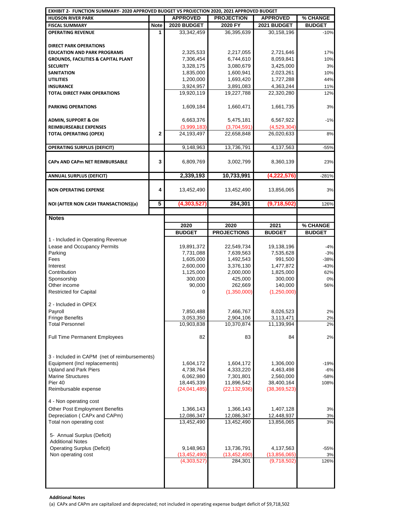| EXHIBIT 2- FUNCTION SUMMARY- 2020 APPROVED BUDGET VS PROJECTION 2020, 2021 APPROVED BUDGET |                |                               |                           |                             |               |
|--------------------------------------------------------------------------------------------|----------------|-------------------------------|---------------------------|-----------------------------|---------------|
| <b>HUDSON RIVER PARK</b>                                                                   |                | <b>APPROVED</b>               | <b>PROJECTION</b>         | <b>APPROVED</b>             | % CHANGE      |
| <b>FISCAL SUMMARY</b>                                                                      | Note           | 2020 BUDGET                   | 2020 FY                   | 2021 BUDGET                 | <b>BUDGET</b> |
| <b>OPERATING REVENUE</b>                                                                   | 1              | 33,342,459                    | 36,395,639                | 30,158,196                  | $-10%$        |
|                                                                                            |                |                               |                           |                             |               |
| <b>DIRECT PARK OPERATIONS</b>                                                              |                |                               |                           |                             |               |
| <b>EDUCATION AND PARK PROGRAMS</b>                                                         |                | 2,325,533                     | 2,217,055                 | 2,721,646                   | 17%           |
| <b>GROUNDS, FACILITIES &amp; CAPITAL PLANT</b>                                             |                | 7,306,454                     | 6,744,610                 | 8,059,841                   | 10%           |
| <b>SECURITY</b>                                                                            |                | 3,328,175                     | 3,080,679                 | 3,425,000                   | 3%            |
| <b>SANITATION</b>                                                                          |                | 1,835,000                     | 1,600,941                 | 2,023,261                   | 10%           |
| <b>UTILITIES</b>                                                                           |                | 1,200,000                     | 1,693,420                 | 1,727,288                   | 44%           |
| <b>INSURANCE</b>                                                                           |                | 3,924,957                     | 3,891,083                 | 4,363,244                   | 11%           |
| <b>TOTAL DIRECT PARK OPERATIONS</b>                                                        |                | 19,920,119                    | 19,227,788                | 22,320,280                  | 12%           |
|                                                                                            |                |                               |                           |                             |               |
| <b>PARKING OPERATIONS</b>                                                                  |                | 1,609,184                     | 1,660,471                 | 1,661,735                   | 3%            |
|                                                                                            |                |                               |                           |                             |               |
| <b>ADMIN, SUPPORT &amp; OH</b>                                                             |                | 6,663,376                     | 5,475,181                 | 6,567,922                   | $-1%$         |
| <b>REIMBURSEABLE EXPENSES</b>                                                              |                | (3,999,183)                   | (3,704,591)               | (4,529,304)                 |               |
| <b>TOTAL OPERATING (OPEX)</b>                                                              | $\overline{2}$ | 24,193,497                    | 22,658,848                | 26,020,633                  | 8%            |
|                                                                                            |                |                               |                           |                             |               |
| <b>OPERATING SURPLUS (DEFICIT)</b>                                                         |                | 9,148,963                     | 13,736,791                | 4,137,563                   | -55%          |
| <b>CAPx AND CAPM NET REIMBURSABLE</b>                                                      | 3              | 6,809,769                     | 3,002,799                 | 8,360,139                   | 23%           |
| <b>ANNUAL SURPLUS (DEFICIT)</b>                                                            |                | 2,339,193                     | 10,733,991                | (4,222,576)                 | $-281%$       |
| <b>NON OPERATING EXPENSE</b>                                                               | 4              | 13,452,490                    | 13,452,490                | 13,856,065                  | 3%            |
|                                                                                            |                |                               |                           |                             |               |
| NOI (AFTER NON CASH TRANSACTIONS)(a)                                                       | 5              | (4,303,527                    | 284,301                   | (9,718,502)                 | 126%          |
| <b>Notes</b>                                                                               |                |                               |                           |                             |               |
|                                                                                            |                | 2020                          | 2020                      | 2021                        | % CHANGE      |
|                                                                                            |                | <b>BUDGET</b>                 | <b>PROJECTIONS</b>        | <b>BUDGET</b>               | <b>BUDGET</b> |
| 1 - Included in Operating Revenue                                                          |                |                               |                           |                             |               |
| Lease and Occupancy Permits                                                                |                | 19,891,372                    | 22,549,734                | 19,138,196                  | $-4%$         |
| Parking                                                                                    |                | 7,731,088                     |                           | 7,535,628                   | $-3%$         |
|                                                                                            |                |                               |                           |                             |               |
|                                                                                            |                |                               | 7,639,563                 |                             |               |
| Fees                                                                                       |                | 1,605,000                     | 1,492,543                 | 991,500                     | $-38%$        |
| Interest                                                                                   |                | 2,600,000                     | 3,376,130                 | 1,477,872                   | $-43%$        |
| Contribution                                                                               |                | 1,125,000                     | 2,000,000                 | 1,825,000                   | 62%           |
| Sponsorship                                                                                |                | 300,000                       | 425,000                   | 300,000                     | $0\%$         |
| Other income                                                                               |                | 90,000                        | 262,669                   | 140,000                     | 56%           |
| <b>Restricted for Capital</b>                                                              |                | $\Omega$                      | (1,350,000)               | (1,250,000)                 |               |
|                                                                                            |                |                               |                           |                             |               |
| 2 - Included in OPEX                                                                       |                |                               |                           |                             |               |
| Payroll                                                                                    |                | 7,850,488                     | 7,466,767                 | 8,026,523                   | 2%            |
| <b>Fringe Benefits</b><br><b>Total Personnel</b>                                           |                | 3,053,350                     | 2,904,106<br>10,370,874   | 3,113,471<br>11,139,994     | 2%<br>2%      |
|                                                                                            |                | 10,903,838                    |                           |                             |               |
|                                                                                            |                | 82                            | 83                        | 84                          | 2%            |
| Full Time Permanent Employees                                                              |                |                               |                           |                             |               |
|                                                                                            |                |                               |                           |                             |               |
| 3 - Included in CAPM (net of reimbursements)                                               |                |                               |                           |                             |               |
| Equipment (Incl replacements)                                                              |                | 1,604,172                     | 1,604,172                 | 1,306,000                   | $-19%$        |
| <b>Upland and Park Piers</b>                                                               |                | 4,738,764                     | 4,333,220                 | 4,463,498                   | $-6%$         |
| <b>Marine Structures</b>                                                                   |                | 6,062,980                     | 7,301,801                 | 2,560,000                   | $-58%$        |
| Pier 40                                                                                    |                | 18,445,339                    | 11,896,542                | 38,400,164                  | 108%          |
| Reimbursable expense                                                                       |                | (24,041,485)                  | (22, 132, 936)            | (38, 369, 523)              |               |
|                                                                                            |                |                               |                           |                             |               |
| 4 - Non operating cost                                                                     |                |                               |                           |                             |               |
| <b>Other Post Employment Benefits</b>                                                      |                | 1,366,143                     | 1,366,143                 | 1,407,128                   | 3%            |
| Depreciation (CAPx and CAPm)                                                               |                | 12,086,347                    | 12,086,347                | 12,448,937                  | 3%            |
| Total non operating cost                                                                   |                | 13,452,490                    | 13,452,490                | 13,856,065                  | 3%            |
|                                                                                            |                |                               |                           |                             |               |
| 5- Annual Surplus (Deficit)<br><b>Additional Notes</b>                                     |                |                               |                           |                             |               |
|                                                                                            |                |                               |                           |                             |               |
| <b>Operating Surplus (Deficit)</b>                                                         |                | 9,148,963                     | 13,736,791                | 4,137,563                   | $-55%$<br>3%  |
| Non operating cost                                                                         |                | (13, 452, 490)<br>(4,303,527) | (13, 452, 490)<br>284,301 | (13,856,065)<br>(9,718,502) | 126%          |
|                                                                                            |                |                               |                           |                             |               |
|                                                                                            |                |                               |                           |                             |               |
|                                                                                            |                |                               |                           |                             |               |

 **Additional Notes** 

(a) CAPx and CAPm are capitalized and depreciated; not included in operating expense budget deficit of \$9,718,502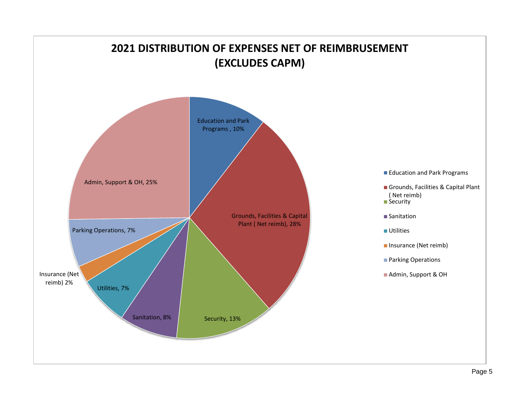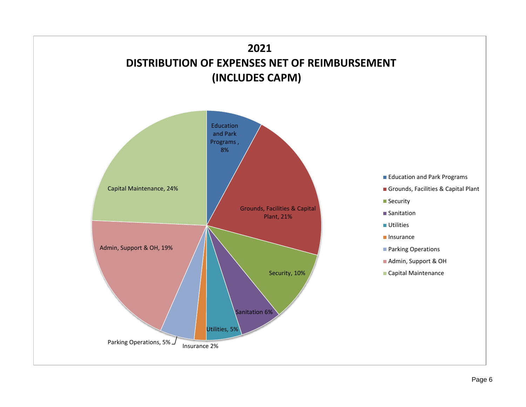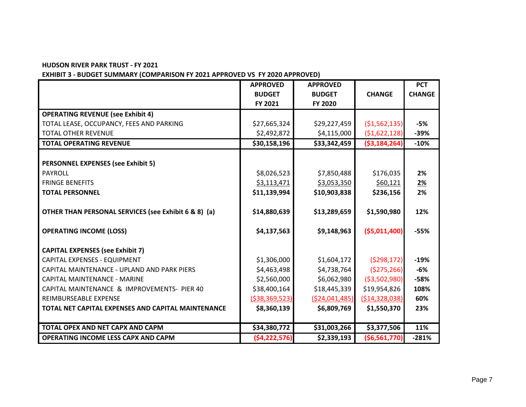#### **HUDSON RIVER PARK TRUST - FY 2021**

## **EXHIBIT 3 - BUDGET SUMMARY (COMPARISON FY 2021 APPROVED VS FY 2020 APPROVED)**

|                                                      | <b>APPROVED</b>   | <b>APPROVED</b> |                   | <b>PCT</b>    |
|------------------------------------------------------|-------------------|-----------------|-------------------|---------------|
|                                                      | <b>BUDGET</b>     | <b>BUDGET</b>   | <b>CHANGE</b>     | <b>CHANGE</b> |
|                                                      | FY 2021           | FY 2020         |                   |               |
| <b>OPERATING REVENUE (see Exhibit 4)</b>             |                   |                 |                   |               |
| TOTAL LEASE, OCCUPANCY, FEES AND PARKING             | \$27,665,324      | \$29,227,459    | ( \$1,562,135)    | $-5%$         |
| <b>TOTAL OTHER REVENUE</b>                           | \$2,492,872       | \$4,115,000     | ( \$1,622,128)    | $-39%$        |
| <b>TOTAL OPERATING REVENUE</b>                       | \$30,158,196      | \$33,342,459    | ( \$3,184,264)    | $-10%$        |
|                                                      |                   |                 |                   |               |
| <b>PERSONNEL EXPENSES (see Exhibit 5)</b>            |                   |                 |                   |               |
| PAYROLL                                              | \$8,026,523       | \$7,850,488     | \$176,035         | 2%            |
| <b>FRINGE BENEFITS</b>                               | \$3,113,471       | \$3,053,350     | \$60,121          | <u>2%</u>     |
| <b>TOTAL PERSONNEL</b>                               | \$11,139,994      | \$10,903,838    | \$236,156         | 2%            |
|                                                      |                   |                 |                   |               |
| OTHER THAN PERSONAL SERVICES (see Exhibit 6 & 8) (a) | \$14,880,639      | \$13,289,659    | \$1,590,980       | 12%           |
| <b>OPERATING INCOME (LOSS)</b>                       | \$4,137,563       | \$9,148,963     | ( \$5,011,400]    | $-55%$        |
| <b>CAPITAL EXPENSES (see Exhibit 7)</b>              |                   |                 |                   |               |
| CAPITAL EXPENSES - EQUIPMENT                         | \$1,306,000       | \$1,604,172     | (5298, 172)       | $-19%$        |
| CAPITAL MAINTENANCE - UPLAND AND PARK PIERS          | \$4,463,498       | \$4,738,764     | ( \$275, 266)     | $-6%$         |
| <b>CAPITAL MAINTENANCE - MARINE</b>                  | \$2,560,000       | \$6,062,980     | ( \$3,502,980)    | $-58%$        |
| CAPITAL MAINTENANCE & IMPROVEMENTS- PIER 40          | \$38,400,164      | \$18,445,339    | \$19,954,826      | 108%          |
| REIMBURSEABLE EXPENSE                                | ( \$38, 369, 523) | (524, 041, 485) | ( \$14, 328, 038) | 60%           |
| TOTAL NET CAPITAL EXPENSES AND CAPITAL MAINTENANCE   | \$8,360,139       | \$6,809,769     | \$1,550,370       | 23%           |
|                                                      |                   |                 |                   |               |
| TOTAL OPEX AND NET CAPX AND CAPM                     | \$34,380,772      | \$31,003,266    | \$3,377,506       | 11%           |
| <b>OPERATING INCOME LESS CAPX AND CAPM</b>           | ( \$4, 222, 576)  | \$2,339,193     | ( \$6,561,770]    | $-281%$       |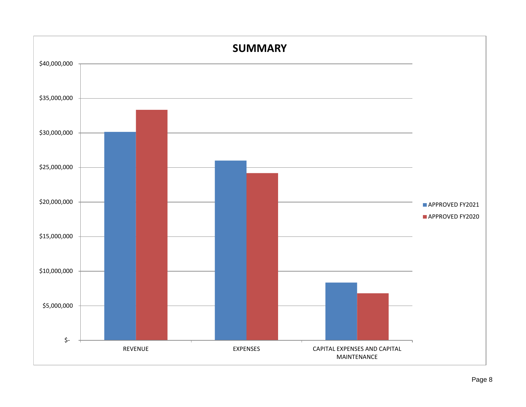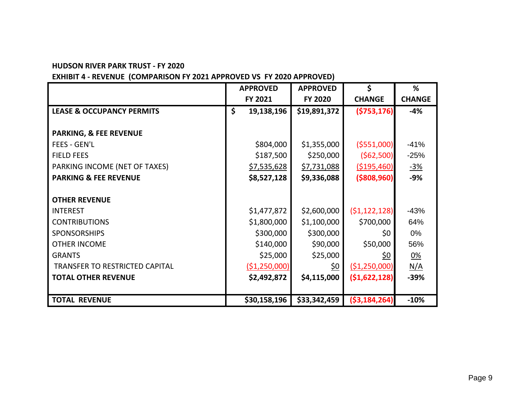#### **HUDSON RIVER PARK TRUST - FY 2020**

 $\overline{a}$ 

## **EXHIBIT 4 - REVENUE (COMPARISON FY 2021 APPROVED VS FY 2020 APPROVED)**

|                                      | <b>APPROVED</b>    | <b>APPROVED</b>    | \$             | %             |
|--------------------------------------|--------------------|--------------------|----------------|---------------|
|                                      | FY 2021            | <b>FY 2020</b>     | <b>CHANGE</b>  | <b>CHANGE</b> |
| <b>LEASE &amp; OCCUPANCY PERMITS</b> | \$<br>19,138,196   | \$19,891,372       | ( \$753, 176)  | $-4%$         |
|                                      |                    |                    |                |               |
| <b>PARKING, &amp; FEE REVENUE</b>    |                    |                    |                |               |
| <b>FEES - GEN'L</b>                  | \$804,000          | \$1,355,000        | ( \$551,000]   | $-41%$        |
| <b>FIELD FEES</b>                    | \$187,500          | \$250,000          | (562,500)      | $-25%$        |
| PARKING INCOME (NET OF TAXES)        | <u>\$7,535,628</u> | <u>\$7,731,088</u> | ( \$195,460)   | <u>-3%</u>    |
| <b>PARKING &amp; FEE REVENUE</b>     | \$8,527,128        | \$9,336,088        | ( \$808, 960]  | $-9%$         |
|                                      |                    |                    |                |               |
| <b>OTHER REVENUE</b>                 |                    |                    |                |               |
| <b>INTEREST</b>                      | \$1,477,872        | \$2,600,000        | (51, 122, 128) | $-43%$        |
| <b>CONTRIBUTIONS</b>                 | \$1,800,000        | \$1,100,000        | \$700,000      | 64%           |
| <b>SPONSORSHIPS</b>                  | \$300,000          | \$300,000          | \$0            | 0%            |
| <b>OTHER INCOME</b>                  | \$140,000          | \$90,000           | \$50,000       | 56%           |
| <b>GRANTS</b>                        | \$25,000           | \$25,000           | <u>\$0</u>     | 0%            |
| TRANSFER TO RESTRICTED CAPITAL       | ( \$1,250,000)     | <u>\$0</u>         | ( \$1,250,000] | <u>N/A</u>    |
| <b>TOTAL OTHER REVENUE</b>           | \$2,492,872        | \$4,115,000        | (51, 622, 128) | -39%          |
|                                      |                    |                    |                |               |
| <b>TOTAL REVENUE</b>                 | \$30,158,196       | \$33,342,459       | ( \$3,184,264) | $-10%$        |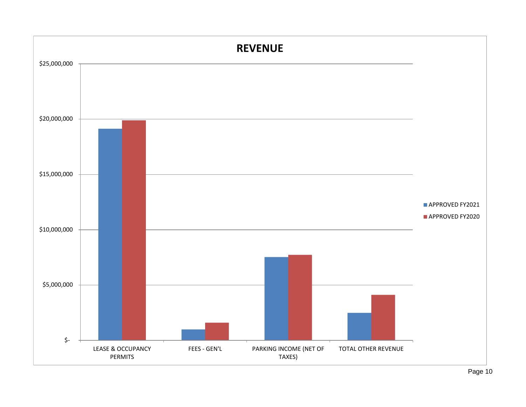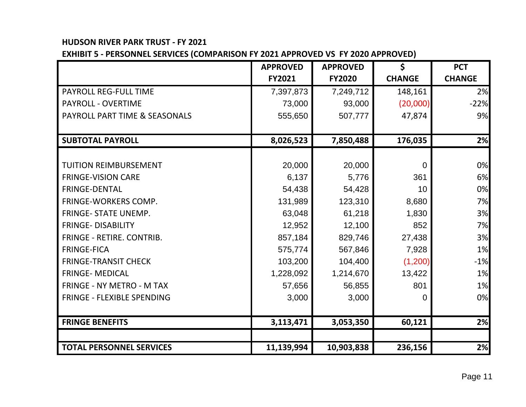## **HUDSON RIVER PARK TRUST - FY 2021**

**EXHIBIT 5 - PERSONNEL SERVICES (COMPARISON FY 2021 APPROVED VS FY 2020 APPROVED)**

|                                   | <b>APPROVED</b> | <b>APPROVED</b> | \$             | <b>PCT</b>    |
|-----------------------------------|-----------------|-----------------|----------------|---------------|
|                                   | <b>FY2021</b>   | <b>FY2020</b>   | <b>CHANGE</b>  | <b>CHANGE</b> |
| <b>PAYROLL REG-FULL TIME</b>      | 7,397,873       | 7,249,712       | 148,161        | 2%            |
| <b>PAYROLL - OVERTIME</b>         | 73,000          | 93,000          | (20,000)       | $-22%$        |
| PAYROLL PART TIME & SEASONALS     | 555,650         | 507,777         | 47,874         | 9%            |
|                                   |                 |                 |                |               |
| <b>SUBTOTAL PAYROLL</b>           | 8,026,523       | 7,850,488       | 176,035        | 2%            |
|                                   |                 |                 |                |               |
| <b>TUITION REIMBURSEMENT</b>      | 20,000          | 20,000          | $\overline{0}$ | 0%            |
| <b>FRINGE-VISION CARE</b>         | 6,137           | 5,776           | 361            | 6%            |
| <b>FRINGE-DENTAL</b>              | 54,438          | 54,428          | 10             | 0%            |
| <b>FRINGE-WORKERS COMP.</b>       | 131,989         | 123,310         | 8,680          | 7%            |
| <b>FRINGE- STATE UNEMP.</b>       | 63,048          | 61,218          | 1,830          | 3%            |
| <b>FRINGE- DISABILITY</b>         | 12,952          | 12,100          | 852            | 7%            |
| <b>FRINGE - RETIRE. CONTRIB.</b>  | 857,184         | 829,746         | 27,438         | 3%            |
| <b>FRINGE-FICA</b>                | 575,774         | 567,846         | 7,928          | 1%            |
| <b>FRINGE-TRANSIT CHECK</b>       | 103,200         | 104,400         | (1,200)        | $-1%$         |
| <b>FRINGE- MEDICAL</b>            | 1,228,092       | 1,214,670       | 13,422         | 1%            |
| <b>FRINGE - NY METRO - M TAX</b>  | 57,656          | 56,855          | 801            | 1%            |
| <b>FRINGE - FLEXIBLE SPENDING</b> | 3,000           | 3,000           | $\overline{0}$ | 0%            |
|                                   |                 |                 |                |               |
| <b>FRINGE BENEFITS</b>            | 3,113,471       | 3,053,350       | 60,121         | 2%            |
|                                   |                 |                 |                |               |
| <b>TOTAL PERSONNEL SERVICES</b>   | 11,139,994      | 10,903,838      | 236,156        | 2%            |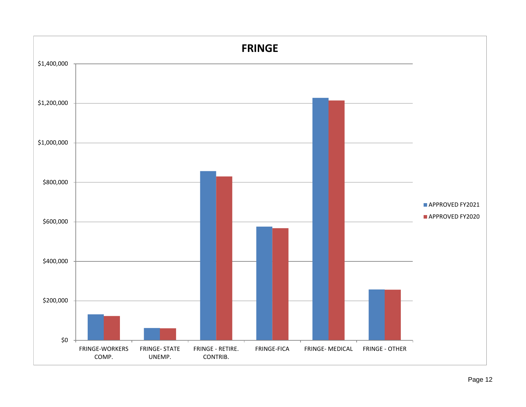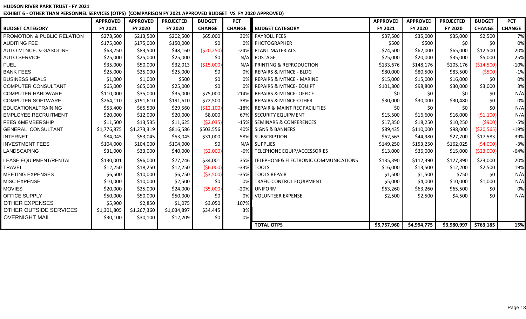#### **HUDSON RIVER PARK TRUST - FY 2021 EXHIBIT 6 - OTHER THAN PERSONNEL SERVICES (OTPS) (COMPARISON FY 2021 APPROVED BUDGET VS FY 2020 APPROVED)**

|                                   | <b>APPROVED</b> | <b>APPROVED</b> | <b>PROJECTED</b> | <b>BUDGET</b> | <b>PCT</b>    |                                      | <b>APPROVED</b> | <b>APPROVED</b> | <b>PROJECTED</b>        | <b>BUDGET</b> | <b>PCT</b>    |
|-----------------------------------|-----------------|-----------------|------------------|---------------|---------------|--------------------------------------|-----------------|-----------------|-------------------------|---------------|---------------|
| <b>BUDGET CATEGORY</b>            | FY 2021         | FY 2020         | FY 2020          | <b>CHANGE</b> | <b>CHANGE</b> | <b>BUDGET CATEGORY</b>               | FY 2021         | FY 2020         | FY 2020                 | <b>CHANGE</b> | <b>CHANGE</b> |
| PROMOTION & PUBLIC RELATION       | \$278,500       | \$213,500       | \$202,500        | \$65,000      | 30%           | <b>PAYROLL FEES</b>                  | \$37,500        | \$35,000        | \$35,000                | \$2,500       | 7%            |
| <b>AUDITING FEE</b>               | \$175,000       | \$175,000       | \$150,000        | \$0           | 0%            | PHOTOGRAPHER                         | \$500           | \$500           | \$0                     | \$0           | 0%            |
| <b>AUTO MTNCE. &amp; GASOLINE</b> | \$63,250        | \$83,500        | \$48,160         | ( \$20, 250)  |               | -24% PLANT MATERIALS                 | \$74,500        | \$62,000        | \$65,000                | \$12,500      | 20%           |
| <b>AUTO SERVICE</b>               | \$25,000        | \$25,000        | \$25,000         | \$0\$         | N/A           | POSTAGE                              | \$25,000        | \$20,000        | \$35,000                | \$5,000       | 25%           |
| <b>FUEL</b>                       | \$35,000        | \$50,000        | \$32,013         | ( \$15,000]   | N/A           | <b>PRINTING &amp; REPRODUCTION</b>   | \$133,676       | \$148,176       | \$105,176               | ( \$14,500)   | $-10%$        |
| <b>BANK FEES</b>                  | \$25,000        | \$25,000        | \$25,000         | \$0           | 0%            | <b>REPAIRS &amp; MTNCE - BLDG</b>    | \$80,000        | \$80,500        | \$83,500                | (5500)        | $-1%$         |
| <b>BUSINESS MEALS</b>             | \$1,000         | \$1,000         | \$500            | \$0           | 0%            | <b>REPAIRS &amp; MTNCE - MARINE</b>  | \$15,000        | \$15,000        | \$16,000                | \$0           | 0%            |
| <b>COMPUTER CONSULTANT</b>        | \$65,000        | \$65,000        | \$25,000         | \$0           |               | <b>REPAIRS &amp; MTNCE- EQUIPT</b>   | \$101,800       | \$98,800        | \$30,000                | \$3,000       | 3%            |
| <b>COMPUTER HARDWARE</b>          | \$110,000       | \$35,000        | \$35,000         | \$75,000      |               | 214% REPAIRS & MTNCE-OFFICE          | \$0             | \$0             | \$0                     | \$0           | N/A           |
| <b>COMPUTER SOFTWARE</b>          | \$264,110       | \$191,610       | \$191,610        | \$72,500      | 38%           | <b>REPAIRS &amp; MTNCE-OTHER</b>     | \$30,000        | \$30,000        | \$30,480                | \$0           | 0%            |
| <b>EDUCATIONALTRAINING</b>        | \$53,400        | \$65,500        | \$29,560         | (\$12,100)    |               | -18% REPAIR & MAINT REC FACILITIES   | \$0             | \$0             | \$0                     | \$0           | N/A           |
| <b>EMPLOYEE RECRUITMENT</b>       | \$20,000        | \$12,000        | \$20,000         | \$8,000       | 67%           | <b>SECURITY EQUIPMENT</b>            | \$15,500        | \$16,600        | \$16,000                | (51, 100)     | N/A           |
| <b>FEES &amp;MEMBERSHIP</b>       | \$11,500        | \$13,535        | \$11,625         | (52,035)      |               | -15% SEMINARS & CONFERENCES          | \$17,350        | \$18,250        | \$10,250                | (5900)        | $-5%$         |
| <b>GENERAL CONSULTANT</b>         | \$1,776,875     | \$1,273,319     | \$816,586        | \$503,556     | 40%           | <b>SIGNS &amp; BANNERS</b>           | \$89,435        | \$110,000       | \$98,000                | ( \$20, 565)  | $-19%$        |
| <b>INTERNET</b>                   | \$84,045        | \$53,045        | \$53,045         | \$31,000      | 58%           | <b>SUBSCRIPTION</b>                  | \$62,563        | \$44,980        | \$27,700                | \$17,583      | 39%           |
| <b>INVESTMENT FEES</b>            | \$104,000       | \$104,000       | \$104,000        | \$0           | N/A           | <b>SUPPLIES</b>                      | \$149,250       | \$153,250       | \$162,025               | (54,000)      | $-3%$         |
| LANDSCAPING                       | \$31,000        | \$33,000        | \$40,000         | ( \$2,000)    |               | -6% TELEPHONE EQUIP/ACCESSORIES      | \$13,000        | \$36,000        | \$15,000                | ( \$23,000)   | $-64%$        |
| <b>LEASE EQUIPMENT/RENTAL</b>     | \$130,001       | \$96,000        | \$77,746         | \$34,001      | 35%           | TELEPHONE& ELECTRONIC COMMUNICATIONS | \$135,390       | \$112,390       | \$127,890               | \$23,000      | 20%           |
| <b>TRAVEL</b>                     | \$12,250        | \$18,250        | \$12,250         | (56,000)      |               | -33% TOOLS                           | \$16,000        | \$13,500        | \$12,200                | \$2,500       | 19%           |
| <b>MEETING EXPENSES</b>           | \$6,500         | \$10,000        | \$6,750          | ( \$3,500)    | $-35%$        | <b>TOOLS REPAIR</b>                  | \$1,500         | \$1,500         | \$750                   | \$0           | N/A           |
| <b>MISC EXPENSE</b>               | \$10,000        | \$10,000        | \$2,500          | \$0           | 0%            | <b>TRAFIC CONTROL EQUIPMENT</b>      | \$5,000         | \$4,000         | \$10,000                | \$1,000       | N/A           |
| <b>MOVIES</b>                     | \$20,000        | \$25,000        | \$24,000         | (55,000)      |               | -20% UNIFORM                         | \$63,260        | \$63,260        | \$65,500                | \$0           | 0%            |
| OFFICE SUPPLY                     | \$50,000        | \$50,000        | \$50,000         | \$0           | -0%           | <b>VOLUNTEER EXPENSE</b>             | \$2,500         | \$2,500         | \$4,500                 | \$0           | N/A           |
| <b>OTHER EXPENSES</b>             | \$5,900         | \$2,850         | \$1,075          | \$3,050       | 107%          |                                      |                 |                 |                         |               |               |
| <b>OTHER OUTSIDE SERVICES</b>     | \$1,301,805     | \$1,267,360     | \$1,034,897      | \$34,445      | 3%            |                                      |                 |                 |                         |               |               |
| <b>OVERNIGHT MAIL</b>             | \$30,100        | \$30,100        | \$12,209         | \$0           | 0%            |                                      |                 |                 |                         |               |               |
|                                   |                 |                 |                  |               |               | <b>TOTAL OTPS</b>                    | \$5,757,960     | \$4,994,775     | $$3,980,997$ $$763,185$ |               | 15%           |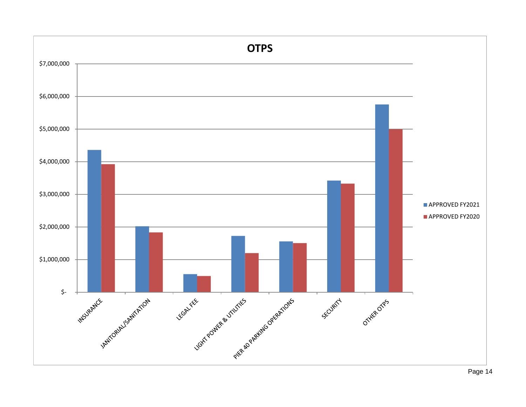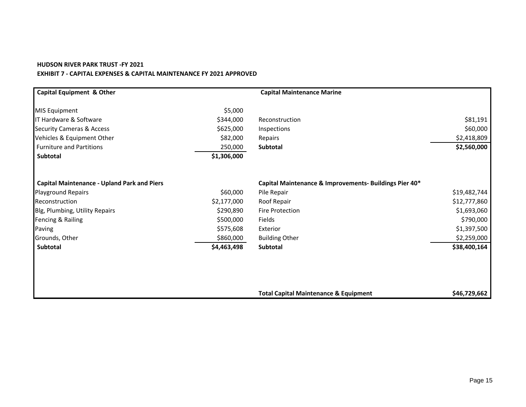#### **HUDSON RIVER PARK TRUST -FY 2021 EXHIBIT 7 - CAPITAL EXPENSES & CAPITAL MAINTENANCE FY 2021 APPROVED**

| <b>Capital Equipment &amp; Other</b>               |             | <b>Capital Maintenance Marine</b>                      |              |
|----------------------------------------------------|-------------|--------------------------------------------------------|--------------|
| <b>MIS Equipment</b>                               | \$5,000     |                                                        |              |
| IT Hardware & Software                             | \$344,000   | Reconstruction                                         | \$81,191     |
| <b>Security Cameras &amp; Access</b>               | \$625,000   | Inspections                                            | \$60,000     |
| Vehicles & Equipment Other                         | \$82,000    | Repairs                                                | \$2,418,809  |
| <b>Furniture and Partitions</b>                    | 250,000     | <b>Subtotal</b>                                        | \$2,560,000  |
| <b>Subtotal</b>                                    | \$1,306,000 |                                                        |              |
| <b>Capital Maintenance - Upland Park and Piers</b> |             | Capital Maintenance & Improvements- Buildings Pier 40* |              |
| <b>Playground Repairs</b>                          | \$60,000    | Pile Repair                                            | \$19,482,744 |
| Reconstruction                                     | \$2,177,000 | Roof Repair                                            | \$12,777,860 |
| Blg, Plumbing, Utility Repairs                     | \$290,890   | <b>Fire Protection</b>                                 | \$1,693,060  |
| Fencing & Railing                                  | \$500,000   | Fields                                                 | \$790,000    |
| Paving                                             | \$575,608   | Exterior                                               | \$1,397,500  |
| Grounds, Other                                     | \$860,000   | <b>Building Other</b>                                  | \$2,259,000  |
| Subtotal                                           | \$4,463,498 | Subtotal                                               | \$38,400,164 |
|                                                    |             |                                                        |              |
|                                                    |             |                                                        |              |
|                                                    |             | <b>Total Capital Maintenance &amp; Equipment</b>       | \$46,729,662 |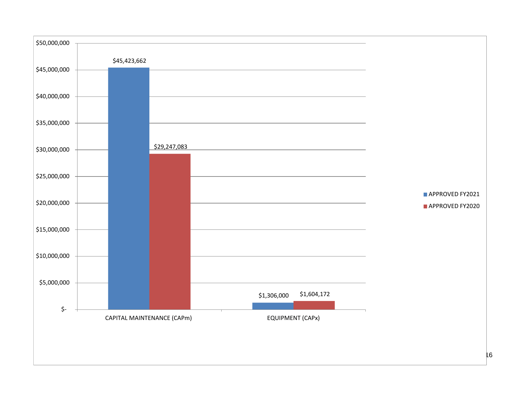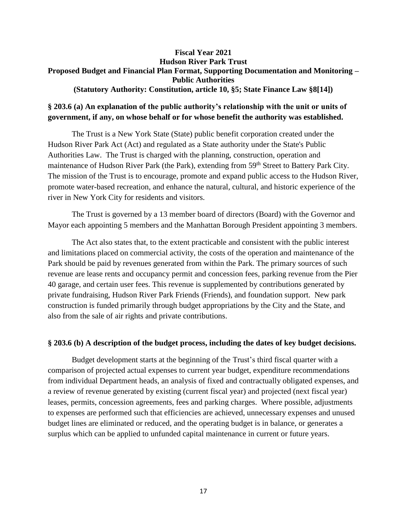#### **Fiscal Year 2021 Hudson River Park Trust Proposed Budget and Financial Plan Format, Supporting Documentation and Monitoring – Public Authorities (Statutory Authority: Constitution, article 10, §5; State Finance Law §8[14])**

## **§ 203.6 (a) An explanation of the public authority's relationship with the unit or units of government, if any, on whose behalf or for whose benefit the authority was established.**

The Trust is a New York State (State) public benefit corporation created under the Hudson River Park Act (Act) and regulated as a State authority under the State's Public Authorities Law. The Trust is charged with the planning, construction, operation and maintenance of Hudson River Park (the Park), extending from 59<sup>th</sup> Street to Battery Park City. The mission of the Trust is to encourage, promote and expand public access to the Hudson River, promote water-based recreation, and enhance the natural, cultural, and historic experience of the river in New York City for residents and visitors.

The Trust is governed by a 13 member board of directors (Board) with the Governor and Mayor each appointing 5 members and the Manhattan Borough President appointing 3 members.

The Act also states that, to the extent practicable and consistent with the public interest and limitations placed on commercial activity, the costs of the operation and maintenance of the Park should be paid by revenues generated from within the Park. The primary sources of such revenue are lease rents and occupancy permit and concession fees, parking revenue from the Pier 40 garage, and certain user fees. This revenue is supplemented by contributions generated by private fundraising, Hudson River Park Friends (Friends), and foundation support. New park construction is funded primarily through budget appropriations by the City and the State, and also from the sale of air rights and private contributions.

#### **§ 203.6 (b) A description of the budget process, including the dates of key budget decisions.**

Budget development starts at the beginning of the Trust's third fiscal quarter with a comparison of projected actual expenses to current year budget, expenditure recommendations from individual Department heads, an analysis of fixed and contractually obligated expenses, and a review of revenue generated by existing (current fiscal year) and projected (next fiscal year) leases, permits, concession agreements, fees and parking charges. Where possible, adjustments to expenses are performed such that efficiencies are achieved, unnecessary expenses and unused budget lines are eliminated or reduced, and the operating budget is in balance, or generates a surplus which can be applied to unfunded capital maintenance in current or future years.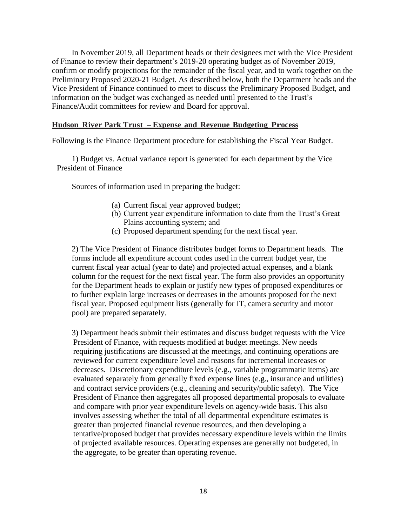In November 2019, all Department heads or their designees met with the Vice President of Finance to review their department's 2019-20 operating budget as of November 2019, confirm or modify projections for the remainder of the fiscal year, and to work together on the Preliminary Proposed 2020-21 Budget. As described below, both the Department heads and the Vice President of Finance continued to meet to discuss the Preliminary Proposed Budget, and information on the budget was exchanged as needed until presented to the Trust's Finance/Audit committees for review and Board for approval.

#### **Hudson River Park Trust – Expense and Revenue Budgeting Process**

Following is the Finance Department procedure for establishing the Fiscal Year Budget.

1) Budget vs. Actual variance report is generated for each department by the Vice President of Finance

Sources of information used in preparing the budget:

- (a) Current fiscal year approved budget;
- (b) Current year expenditure information to date from the Trust's Great Plains accounting system; and
- (c) Proposed department spending for the next fiscal year.

2) The Vice President of Finance distributes budget forms to Department heads. The forms include all expenditure account codes used in the current budget year, the current fiscal year actual (year to date) and projected actual expenses, and a blank column for the request for the next fiscal year. The form also provides an opportunity for the Department heads to explain or justify new types of proposed expenditures or to further explain large increases or decreases in the amounts proposed for the next fiscal year. Proposed equipment lists (generally for IT, camera security and motor pool) are prepared separately.

3) Department heads submit their estimates and discuss budget requests with the Vice President of Finance, with requests modified at budget meetings. New needs requiring justifications are discussed at the meetings, and continuing operations are reviewed for current expenditure level and reasons for incremental increases or decreases. Discretionary expenditure levels (e.g., variable programmatic items) are evaluated separately from generally fixed expense lines (e.g., insurance and utilities) and contract service providers (e.g., cleaning and security/public safety). The Vice President of Finance then aggregates all proposed departmental proposals to evaluate and compare with prior year expenditure levels on agency-wide basis. This also involves assessing whether the total of all departmental expenditure estimates is greater than projected financial revenue resources, and then developing a tentative/proposed budget that provides necessary expenditure levels within the limits of projected available resources. Operating expenses are generally not budgeted, in the aggregate, to be greater than operating revenue.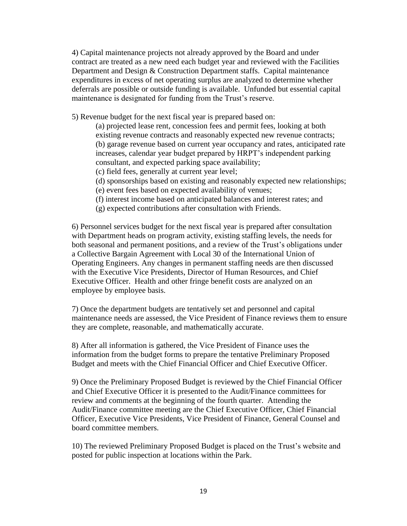4) Capital maintenance projects not already approved by the Board and under contract are treated as a new need each budget year and reviewed with the Facilities Department and Design & Construction Department staffs. Capital maintenance expenditures in excess of net operating surplus are analyzed to determine whether deferrals are possible or outside funding is available. Unfunded but essential capital maintenance is designated for funding from the Trust's reserve.

5) Revenue budget for the next fiscal year is prepared based on:

(a) projected lease rent, concession fees and permit fees, looking at both existing revenue contracts and reasonably expected new revenue contracts; (b) garage revenue based on current year occupancy and rates, anticipated rate increases, calendar year budget prepared by HRPT's independent parking consultant, and expected parking space availability;

- (c) field fees, generally at current year level;
- (d) sponsorships based on existing and reasonably expected new relationships;
- (e) event fees based on expected availability of venues;
- (f) interest income based on anticipated balances and interest rates; and
- (g) expected contributions after consultation with Friends.

6) Personnel services budget for the next fiscal year is prepared after consultation with Department heads on program activity, existing staffing levels, the needs for both seasonal and permanent positions, and a review of the Trust's obligations under a Collective Bargain Agreement with Local 30 of the International Union of Operating Engineers. Any changes in permanent staffing needs are then discussed with the Executive Vice Presidents, Director of Human Resources, and Chief Executive Officer. Health and other fringe benefit costs are analyzed on an employee by employee basis.

7) Once the department budgets are tentatively set and personnel and capital maintenance needs are assessed, the Vice President of Finance reviews them to ensure they are complete, reasonable, and mathematically accurate.

8) After all information is gathered, the Vice President of Finance uses the information from the budget forms to prepare the tentative Preliminary Proposed Budget and meets with the Chief Financial Officer and Chief Executive Officer.

9) Once the Preliminary Proposed Budget is reviewed by the Chief Financial Officer and Chief Executive Officer it is presented to the Audit/Finance committees for review and comments at the beginning of the fourth quarter. Attending the Audit/Finance committee meeting are the Chief Executive Officer, Chief Financial Officer, Executive Vice Presidents, Vice President of Finance, General Counsel and board committee members.

10) The reviewed Preliminary Proposed Budget is placed on the Trust's website and posted for public inspection at locations within the Park.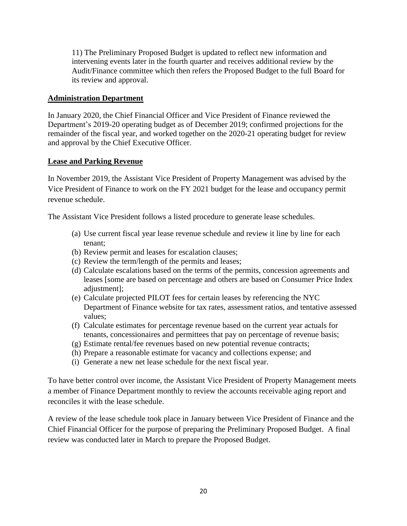11) The Preliminary Proposed Budget is updated to reflect new information and intervening events later in the fourth quarter and receives additional review by the Audit/Finance committee which then refers the Proposed Budget to the full Board for its review and approval.

#### **Administration Department**

In January 2020, the Chief Financial Officer and Vice President of Finance reviewed the Department's 2019-20 operating budget as of December 2019; confirmed projections for the remainder of the fiscal year, and worked together on the 2020-21 operating budget for review and approval by the Chief Executive Officer.

#### **Lease and Parking Revenue**

In November 2019, the Assistant Vice President of Property Management was advised by the Vice President of Finance to work on the FY 2021 budget for the lease and occupancy permit revenue schedule.

The Assistant Vice President follows a listed procedure to generate lease schedules.

- (a) Use current fiscal year lease revenue schedule and review it line by line for each tenant;
- (b) Review permit and leases for escalation clauses;
- (c) Review the term/length of the permits and leases;
- (d) Calculate escalations based on the terms of the permits, concession agreements and leases [some are based on percentage and others are based on Consumer Price Index adjustment];
- (e) Calculate projected PILOT fees for certain leases by referencing the NYC Department of Finance website for tax rates, assessment ratios, and tentative assessed values;
- (f) Calculate estimates for percentage revenue based on the current year actuals for tenants, concessionaires and permittees that pay on percentage of revenue basis;
- (g) Estimate rental/fee revenues based on new potential revenue contracts;
- (h) Prepare a reasonable estimate for vacancy and collections expense; and
- (i) Generate a new net lease schedule for the next fiscal year.

To have better control over income, the Assistant Vice President of Property Management meets a member of Finance Department monthly to review the accounts receivable aging report and reconciles it with the lease schedule.

A review of the lease schedule took place in January between Vice President of Finance and the Chief Financial Officer for the purpose of preparing the Preliminary Proposed Budget. A final review was conducted later in March to prepare the Proposed Budget.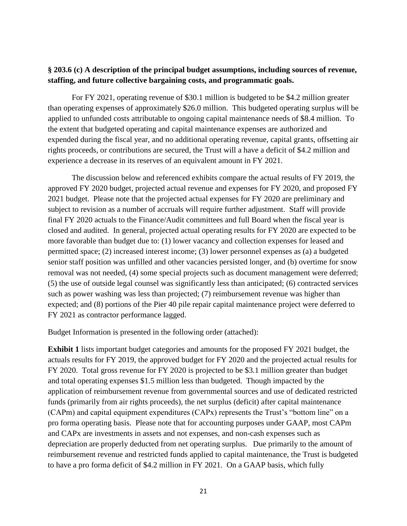## **§ 203.6 (c) A description of the principal budget assumptions, including sources of revenue, staffing, and future collective bargaining costs, and programmatic goals.**

For FY 2021, operating revenue of \$30.1 million is budgeted to be \$4.2 million greater than operating expenses of approximately \$26.0 million. This budgeted operating surplus will be applied to unfunded costs attributable to ongoing capital maintenance needs of \$8.4 million. To the extent that budgeted operating and capital maintenance expenses are authorized and expended during the fiscal year, and no additional operating revenue, capital grants, offsetting air rights proceeds, or contributions are secured, the Trust will a have a deficit of \$4.2 million and experience a decrease in its reserves of an equivalent amount in FY 2021.

The discussion below and referenced exhibits compare the actual results of FY 2019, the approved FY 2020 budget, projected actual revenue and expenses for FY 2020, and proposed FY 2021 budget. Please note that the projected actual expenses for FY 2020 are preliminary and subject to revision as a number of accruals will require further adjustment. Staff will provide final FY 2020 actuals to the Finance/Audit committees and full Board when the fiscal year is closed and audited. In general, projected actual operating results for FY 2020 are expected to be more favorable than budget due to: (1) lower vacancy and collection expenses for leased and permitted space; (2) increased interest income; (3) lower personnel expenses as (a) a budgeted senior staff position was unfilled and other vacancies persisted longer, and (b) overtime for snow removal was not needed, (4) some special projects such as document management were deferred; (5) the use of outside legal counsel was significantly less than anticipated; (6) contracted services such as power washing was less than projected; (7) reimbursement revenue was higher than expected; and (8) portions of the Pier 40 pile repair capital maintenance project were deferred to FY 2021 as contractor performance lagged.

Budget Information is presented in the following order (attached):

**Exhibit 1** lists important budget categories and amounts for the proposed FY 2021 budget, the actuals results for FY 2019, the approved budget for FY 2020 and the projected actual results for FY 2020. Total gross revenue for FY 2020 is projected to be \$3.1 million greater than budget and total operating expenses \$1.5 million less than budgeted. Though impacted by the application of reimbursement revenue from governmental sources and use of dedicated restricted funds (primarily from air rights proceeds), the net surplus (deficit) after capital maintenance (CAPm) and capital equipment expenditures (CAPx) represents the Trust's "bottom line" on a pro forma operating basis. Please note that for accounting purposes under GAAP, most CAPm and CAPx are investments in assets and not expenses, and non-cash expenses such as depreciation are properly deducted from net operating surplus. Due primarily to the amount of reimbursement revenue and restricted funds applied to capital maintenance, the Trust is budgeted to have a pro forma deficit of \$4.2 million in FY 2021. On a GAAP basis, which fully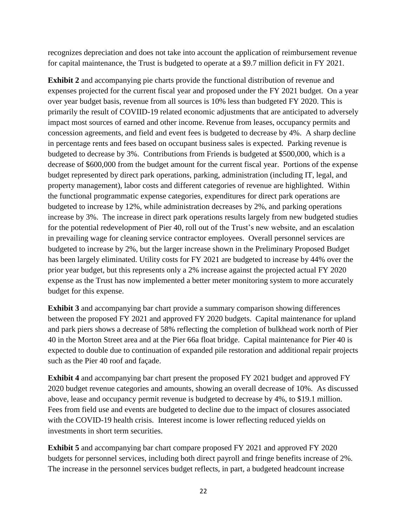recognizes depreciation and does not take into account the application of reimbursement revenue for capital maintenance, the Trust is budgeted to operate at a \$9.7 million deficit in FY 2021.

**Exhibit 2** and accompanying pie charts provide the functional distribution of revenue and expenses projected for the current fiscal year and proposed under the FY 2021 budget. On a year over year budget basis, revenue from all sources is 10% less than budgeted FY 2020. This is primarily the result of COVIID-19 related economic adjustments that are anticipated to adversely impact most sources of earned and other income. Revenue from leases, occupancy permits and concession agreements, and field and event fees is budgeted to decrease by 4%. A sharp decline in percentage rents and fees based on occupant business sales is expected. Parking revenue is budgeted to decrease by 3%. Contributions from Friends is budgeted at \$500,000, which is a decrease of \$600,000 from the budget amount for the current fiscal year. Portions of the expense budget represented by direct park operations, parking, administration (including IT, legal, and property management), labor costs and different categories of revenue are highlighted. Within the functional programmatic expense categories, expenditures for direct park operations are budgeted to increase by 12%, while administration decreases by 2%, and parking operations increase by 3%. The increase in direct park operations results largely from new budgeted studies for the potential redevelopment of Pier 40, roll out of the Trust's new website, and an escalation in prevailing wage for cleaning service contractor employees. Overall personnel services are budgeted to increase by 2%, but the larger increase shown in the Preliminary Proposed Budget has been largely eliminated. Utility costs for FY 2021 are budgeted to increase by 44% over the prior year budget, but this represents only a 2% increase against the projected actual FY 2020 expense as the Trust has now implemented a better meter monitoring system to more accurately budget for this expense.

**Exhibit 3** and accompanying bar chart provide a summary comparison showing differences between the proposed FY 2021 and approved FY 2020 budgets. Capital maintenance for upland and park piers shows a decrease of 58% reflecting the completion of bulkhead work north of Pier 40 in the Morton Street area and at the Pier 66a float bridge. Capital maintenance for Pier 40 is expected to double due to continuation of expanded pile restoration and additional repair projects such as the Pier 40 roof and façade.

**Exhibit 4** and accompanying bar chart present the proposed FY 2021 budget and approved FY 2020 budget revenue categories and amounts, showing an overall decrease of 10%. As discussed above, lease and occupancy permit revenue is budgeted to decrease by 4%, to \$19.1 million. Fees from field use and events are budgeted to decline due to the impact of closures associated with the COVID-19 health crisis. Interest income is lower reflecting reduced yields on investments in short term securities.

**Exhibit 5** and accompanying bar chart compare proposed FY 2021 and approved FY 2020 budgets for personnel services, including both direct payroll and fringe benefits increase of 2%. The increase in the personnel services budget reflects, in part, a budgeted headcount increase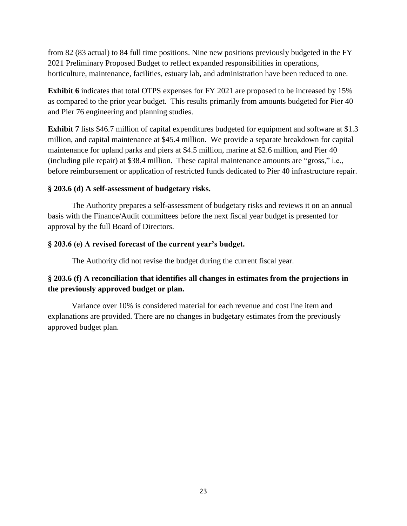from 82 (83 actual) to 84 full time positions. Nine new positions previously budgeted in the FY 2021 Preliminary Proposed Budget to reflect expanded responsibilities in operations, horticulture, maintenance, facilities, estuary lab, and administration have been reduced to one.

**Exhibit 6** indicates that total OTPS expenses for FY 2021 are proposed to be increased by 15% as compared to the prior year budget. This results primarily from amounts budgeted for Pier 40 and Pier 76 engineering and planning studies.

**Exhibit 7** lists \$46.7 million of capital expenditures budgeted for equipment and software at \$1.3 million, and capital maintenance at \$45.4 million. We provide a separate breakdown for capital maintenance for upland parks and piers at \$4.5 million, marine at \$2.6 million, and Pier 40 (including pile repair) at \$38.4 million. These capital maintenance amounts are "gross," i.e., before reimbursement or application of restricted funds dedicated to Pier 40 infrastructure repair.

## **§ 203.6 (d) A self-assessment of budgetary risks.**

The Authority prepares a self-assessment of budgetary risks and reviews it on an annual basis with the Finance/Audit committees before the next fiscal year budget is presented for approval by the full Board of Directors.

## **§ 203.6 (e) A revised forecast of the current year's budget.**

The Authority did not revise the budget during the current fiscal year.

## **§ 203.6 (f) A reconciliation that identifies all changes in estimates from the projections in the previously approved budget or plan.**

Variance over 10% is considered material for each revenue and cost line item and explanations are provided. There are no changes in budgetary estimates from the previously approved budget plan.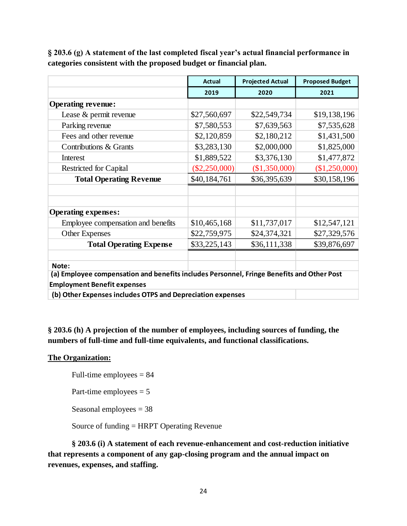|                                                                                           | <b>Actual</b>   | <b>Projected Actual</b> | <b>Proposed Budget</b> |  |  |  |  |
|-------------------------------------------------------------------------------------------|-----------------|-------------------------|------------------------|--|--|--|--|
|                                                                                           | 2019            | 2020                    | 2021                   |  |  |  |  |
| <b>Operating revenue:</b>                                                                 |                 |                         |                        |  |  |  |  |
| Lease & permit revenue                                                                    | \$27,560,697    | \$22,549,734            | \$19,138,196           |  |  |  |  |
| Parking revenue                                                                           | \$7,580,553     | \$7,639,563             | \$7,535,628            |  |  |  |  |
| Fees and other revenue                                                                    | \$2,120,859     | \$2,180,212             | \$1,431,500            |  |  |  |  |
| Contributions & Grants                                                                    | \$3,283,130     | \$2,000,000             | \$1,825,000            |  |  |  |  |
| Interest                                                                                  | \$1,889,522     | \$3,376,130             | \$1,477,872            |  |  |  |  |
| <b>Restricted for Capital</b>                                                             | $(\$2,250,000)$ | (\$1,350,000)           | (\$1,250,000)          |  |  |  |  |
| <b>Total Operating Revenue</b>                                                            | \$40,184,761    | \$36,395,639            | \$30,158,196           |  |  |  |  |
|                                                                                           |                 |                         |                        |  |  |  |  |
|                                                                                           |                 |                         |                        |  |  |  |  |
| <b>Operating expenses:</b>                                                                |                 |                         |                        |  |  |  |  |
| Employee compensation and benefits                                                        | \$10,465,168    | \$11,737,017            | \$12,547,121           |  |  |  |  |
| <b>Other Expenses</b>                                                                     | \$22,759,975    | \$24,374,321            | \$27,329,576           |  |  |  |  |
| <b>Total Operating Expense</b>                                                            | \$33,225,143    | \$36,111,338            | \$39,876,697           |  |  |  |  |
|                                                                                           |                 |                         |                        |  |  |  |  |
| Note:                                                                                     |                 |                         |                        |  |  |  |  |
| (a) Employee compensation and benefits includes Personnel, Fringe Benefits and Other Post |                 |                         |                        |  |  |  |  |
| <b>Employment Benefit expenses</b>                                                        |                 |                         |                        |  |  |  |  |
| (b) Other Expenses includes OTPS and Depreciation expenses                                |                 |                         |                        |  |  |  |  |

**§ 203.6 (g) A statement of the last completed fiscal year's actual financial performance in categories consistent with the proposed budget or financial plan.**

**§ 203.6 (h) A projection of the number of employees, including sources of funding, the numbers of full-time and full-time equivalents, and functional classifications.**

## **The Organization:**

Full-time employees = 84

Part-time employees  $= 5$ 

Seasonal employees = 38

Source of funding = HRPT Operating Revenue

**§ 203.6 (i) A statement of each revenue-enhancement and cost-reduction initiative that represents a component of any gap-closing program and the annual impact on revenues, expenses, and staffing.**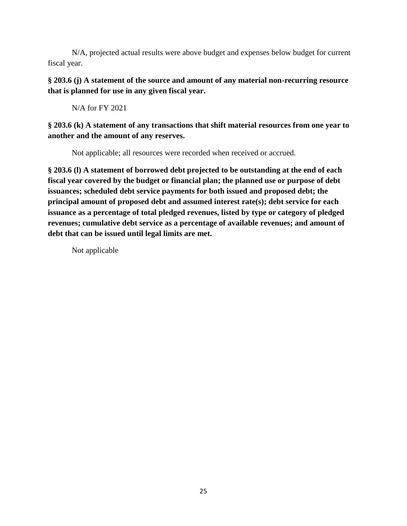N/A, projected actual results were above budget and expenses below budget for current fiscal year.

**§ 203.6 (j) A statement of the source and amount of any material non-recurring resource that is planned for use in any given fiscal year.**

N/A for FY 2021

## **§ 203.6 (k) A statement of any transactions that shift material resources from one year to another and the amount of any reserves.**

Not applicable; all resources were recorded when received or accrued.

**§ 203.6 (l) A statement of borrowed debt projected to be outstanding at the end of each fiscal year covered by the budget or financial plan; the planned use or purpose of debt issuances; scheduled debt service payments for both issued and proposed debt; the principal amount of proposed debt and assumed interest rate(s); debt service for each issuance as a percentage of total pledged revenues, listed by type or category of pledged revenues; cumulative debt service as a percentage of available revenues; and amount of debt that can be issued until legal limits are met.**

Not applicable